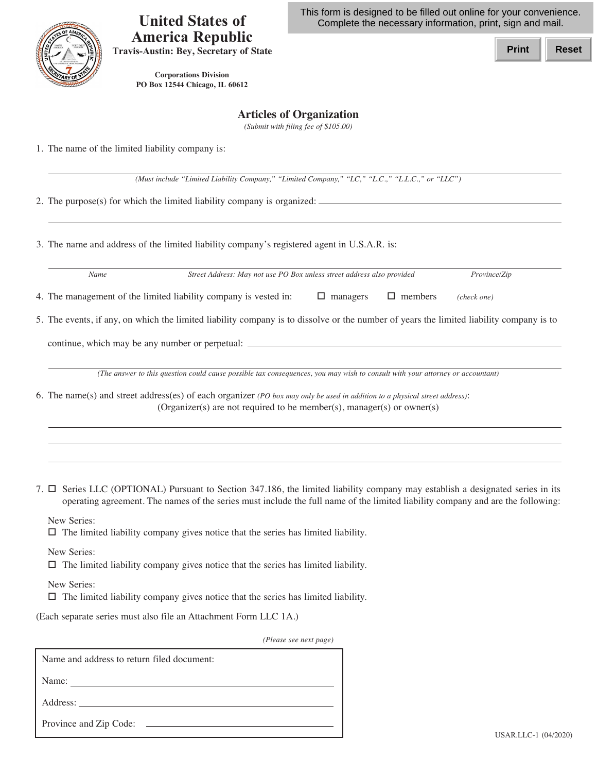

## **America Republic United States of Travis-Austin: Bey, Secretary of State**

This form is designed to be filled out online for your convenience. Complete the necessary information, print, sign and mail.

**Print Reset**

 **PO Box 12544 Chicago, IL 60612 Corporations Division**

## **Articles of Organization**

 *(Submit with filing fee of \$105.00)*

1. The name of the limited liability company is:

 *(Must include "Limited Liability Company," "Limited Company," "LC," "L.C.," "L.L.C.," or "LLC")*

2. The purpose(s) for which the limited liability company is organized:

3. The name and address of the limited liability company's registered agent in U.S.A.R. is:

| Name                                                                                                                                    | Street Address: May not use PO Box unless street address also provided |                 | Province/Zip |             |  |
|-----------------------------------------------------------------------------------------------------------------------------------------|------------------------------------------------------------------------|-----------------|--------------|-------------|--|
| 4. The management of the limited liability company is vested in:                                                                        |                                                                        | $\Box$ managers | members<br>□ | (check one) |  |
| 5. The events, if any, on which the limited liability company is to dissolve or the number of years the limited liability company is to |                                                                        |                 |              |             |  |
| continue, which may be any number or perpetual: _______                                                                                 |                                                                        |                 |              |             |  |
| (The answer to this question could cause possible tax consequences, you may wish to consult with your attorney or accountant)           |                                                                        |                 |              |             |  |
| 6. The name(s) and street address(es) of each organizer (PO box may only be used in addition to a physical street address).             |                                                                        |                 |              |             |  |

(Organizer(s) are not required to be member(s), manager(s) or owner(s)

7.  $\Box$  Series LLC (OPTIONAL) Pursuant to Section 347.186, the limited liability company may establish a designated series in its operating agreement. The names of the series must include the full name of the limited liability company and are the following:

New Series:

 $\Box$  The limited liability company gives notice that the series has limited liability.

New Series:

 $\Box$  The limited liability company gives notice that the series has limited liability.

New Series:

 $\Box$  The limited liability company gives notice that the series has limited liability.

(Each separate series must also file an Attachment Form LLC 1A.)

*(Please see next page)*

| Name and address to return filed document: |  |  |  |  |
|--------------------------------------------|--|--|--|--|
| Name:                                      |  |  |  |  |
|                                            |  |  |  |  |
| Province and Zip Code:                     |  |  |  |  |